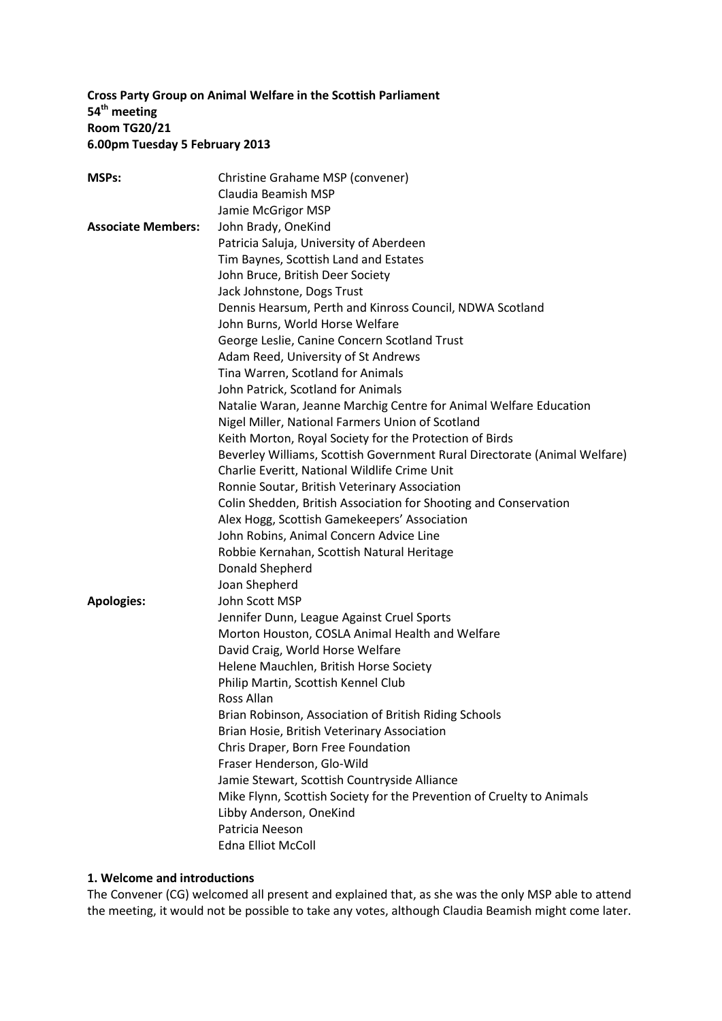## **Cross Party Group on Animal Welfare in the Scottish Parliament 54 th meeting Room TG20/21 6.00pm Tuesday 5 February 2013**

| <b>MSPs:</b>              | Christine Grahame MSP (convener)                                          |
|---------------------------|---------------------------------------------------------------------------|
|                           | Claudia Beamish MSP                                                       |
|                           | Jamie McGrigor MSP                                                        |
| <b>Associate Members:</b> | John Brady, OneKind                                                       |
|                           | Patricia Saluja, University of Aberdeen                                   |
|                           | Tim Baynes, Scottish Land and Estates                                     |
|                           | John Bruce, British Deer Society                                          |
|                           | Jack Johnstone, Dogs Trust                                                |
|                           | Dennis Hearsum, Perth and Kinross Council, NDWA Scotland                  |
|                           | John Burns, World Horse Welfare                                           |
|                           | George Leslie, Canine Concern Scotland Trust                              |
|                           | Adam Reed, University of St Andrews                                       |
|                           | Tina Warren, Scotland for Animals                                         |
|                           | John Patrick, Scotland for Animals                                        |
|                           | Natalie Waran, Jeanne Marchig Centre for Animal Welfare Education         |
|                           | Nigel Miller, National Farmers Union of Scotland                          |
|                           | Keith Morton, Royal Society for the Protection of Birds                   |
|                           | Beverley Williams, Scottish Government Rural Directorate (Animal Welfare) |
|                           | Charlie Everitt, National Wildlife Crime Unit                             |
|                           | Ronnie Soutar, British Veterinary Association                             |
|                           |                                                                           |
|                           | Colin Shedden, British Association for Shooting and Conservation          |
|                           | Alex Hogg, Scottish Gamekeepers' Association                              |
|                           | John Robins, Animal Concern Advice Line                                   |
|                           | Robbie Kernahan, Scottish Natural Heritage                                |
|                           | Donald Shepherd                                                           |
|                           | Joan Shepherd                                                             |
| <b>Apologies:</b>         | John Scott MSP                                                            |
|                           | Jennifer Dunn, League Against Cruel Sports                                |
|                           | Morton Houston, COSLA Animal Health and Welfare                           |
|                           | David Craig, World Horse Welfare                                          |
|                           | Helene Mauchlen, British Horse Society                                    |
|                           | Philip Martin, Scottish Kennel Club                                       |
|                           | Ross Allan                                                                |
|                           | Brian Robinson, Association of British Riding Schools                     |
|                           | Brian Hosie, British Veterinary Association                               |
|                           | Chris Draper, Born Free Foundation                                        |
|                           | Fraser Henderson, Glo-Wild                                                |
|                           | Jamie Stewart, Scottish Countryside Alliance                              |
|                           | Mike Flynn, Scottish Society for the Prevention of Cruelty to Animals     |
|                           | Libby Anderson, OneKind                                                   |
|                           | Patricia Neeson                                                           |
|                           | <b>Edna Elliot McColl</b>                                                 |

### **1. Welcome and introductions**

The Convener (CG) welcomed all present and explained that, as she was the only MSP able to attend the meeting, it would not be possible to take any votes, although Claudia Beamish might come later.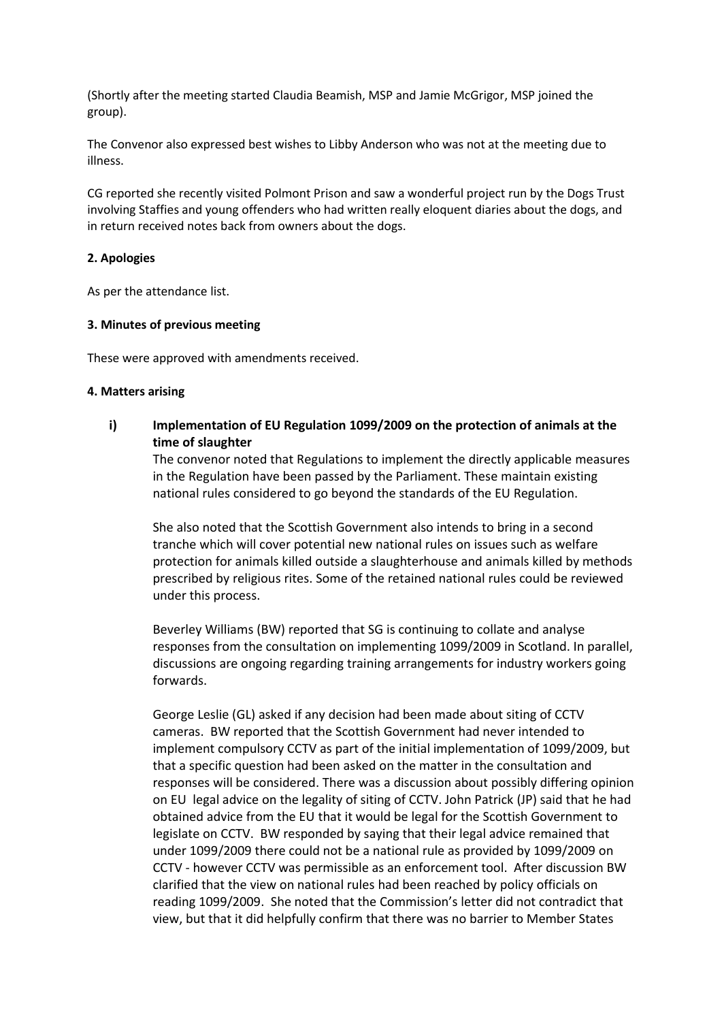(Shortly after the meeting started Claudia Beamish, MSP and Jamie McGrigor, MSP joined the group).

The Convenor also expressed best wishes to Libby Anderson who was not at the meeting due to illness.

CG reported she recently visited Polmont Prison and saw a wonderful project run by the Dogs Trust involving Staffies and young offenders who had written really eloquent diaries about the dogs, and in return received notes back from owners about the dogs.

### **2. Apologies**

As per the attendance list.

### **3. Minutes of previous meeting**

These were approved with amendments received.

#### **4. Matters arising**

**i) Implementation of EU Regulation 1099/2009 on the protection of animals at the time of slaughter** 

The convenor noted that Regulations to implement the directly applicable measures in the Regulation have been passed by the Parliament. These maintain existing national rules considered to go beyond the standards of the EU Regulation.

She also noted that the Scottish Government also intends to bring in a second tranche which will cover potential new national rules on issues such as welfare protection for animals killed outside a slaughterhouse and animals killed by methods prescribed by religious rites. Some of the retained national rules could be reviewed under this process.

Beverley Williams (BW) reported that SG is continuing to collate and analyse responses from the consultation on implementing 1099/2009 in Scotland. In parallel, discussions are ongoing regarding training arrangements for industry workers going forwards.

George Leslie (GL) asked if any decision had been made about siting of CCTV cameras. BW reported that the Scottish Government had never intended to implement compulsory CCTV as part of the initial implementation of 1099/2009, but that a specific question had been asked on the matter in the consultation and responses will be considered. There was a discussion about possibly differing opinion on EU legal advice on the legality of siting of CCTV. John Patrick (JP) said that he had obtained advice from the EU that it would be legal for the Scottish Government to legislate on CCTV. BW responded by saying that their legal advice remained that under 1099/2009 there could not be a national rule as provided by 1099/2009 on CCTV - however CCTV was permissible as an enforcement tool. After discussion BW clarified that the view on national rules had been reached by policy officials on reading 1099/2009. She noted that the Commission's letter did not contradict that view, but that it did helpfully confirm that there was no barrier to Member States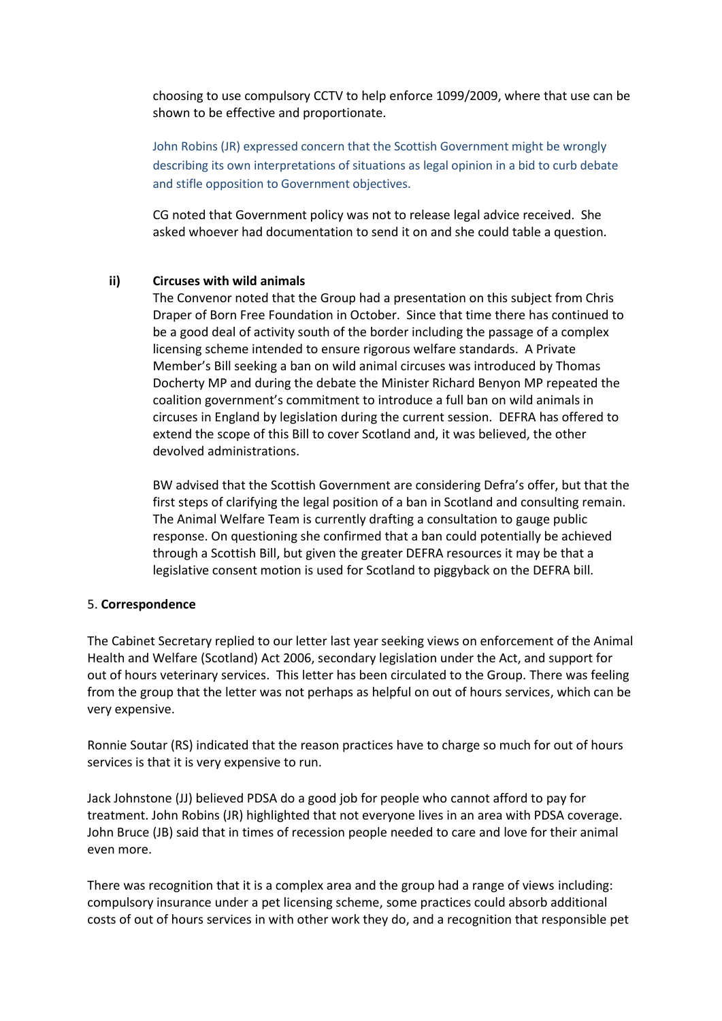choosing to use compulsory CCTV to help enforce 1099/2009, where that use can be shown to be effective and proportionate.

John Robins (JR) expressed concern that the Scottish Government might be wrongly describing its own interpretations of situations as legal opinion in a bid to curb debate and stifle opposition to Government objectives.

CG noted that Government policy was not to release legal advice received. She asked whoever had documentation to send it on and she could table a question.

#### **ii) Circuses with wild animals**

The Convenor noted that the Group had a presentation on this subject from Chris Draper of Born Free Foundation in October. Since that time there has continued to be a good deal of activity south of the border including the passage of a complex licensing scheme intended to ensure rigorous welfare standards. A Private Member's Bill seeking a ban on wild animal circuses was introduced by Thomas Docherty MP and during the debate the Minister Richard Benyon MP repeated the coalition government's commitment to introduce a full ban on wild animals in circuses in England by legislation during the current session. DEFRA has offered to extend the scope of this Bill to cover Scotland and, it was believed, the other devolved administrations.

BW advised that the Scottish Government are considering Defra's offer, but that the first steps of clarifying the legal position of a ban in Scotland and consulting remain. The Animal Welfare Team is currently drafting a consultation to gauge public response. On questioning she confirmed that a ban could potentially be achieved through a Scottish Bill, but given the greater DEFRA resources it may be that a legislative consent motion is used for Scotland to piggyback on the DEFRA bill.

#### 5. **Correspondence**

The Cabinet Secretary replied to our letter last year seeking views on enforcement of the Animal Health and Welfare (Scotland) Act 2006, secondary legislation under the Act, and support for out of hours veterinary services. This letter has been circulated to the Group. There was feeling from the group that the letter was not perhaps as helpful on out of hours services, which can be very expensive.

Ronnie Soutar (RS) indicated that the reason practices have to charge so much for out of hours services is that it is very expensive to run.

Jack Johnstone (JJ) believed PDSA do a good job for people who cannot afford to pay for treatment. John Robins (JR) highlighted that not everyone lives in an area with PDSA coverage. John Bruce (JB) said that in times of recession people needed to care and love for their animal even more.

There was recognition that it is a complex area and the group had a range of views including: compulsory insurance under a pet licensing scheme, some practices could absorb additional costs of out of hours services in with other work they do, and a recognition that responsible pet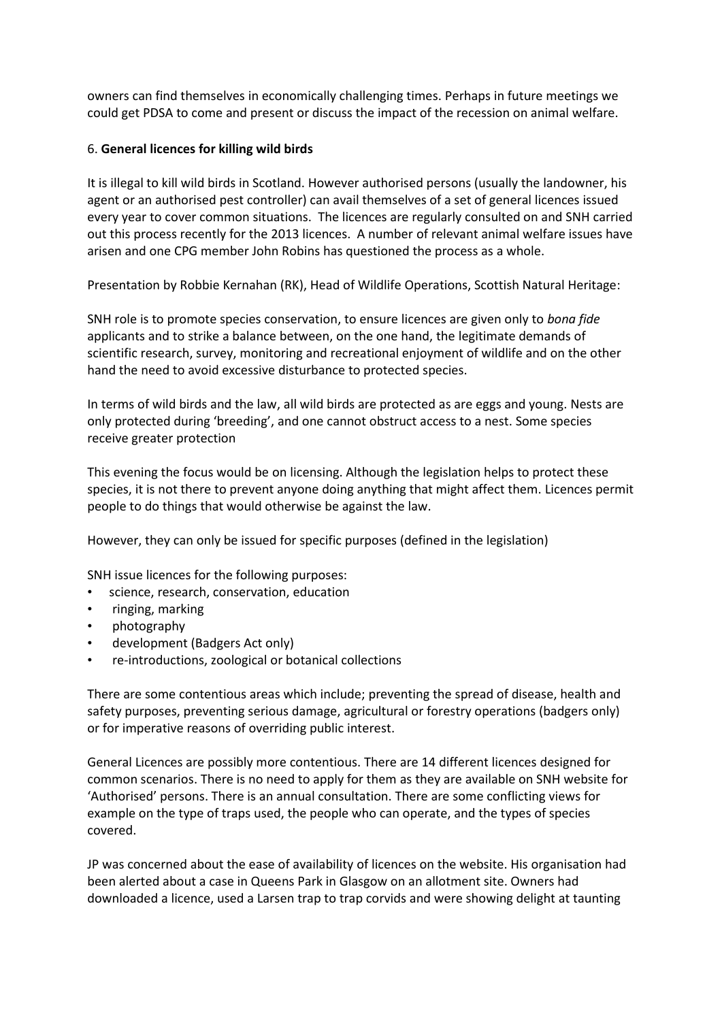owners can find themselves in economically challenging times. Perhaps in future meetings we could get PDSA to come and present or discuss the impact of the recession on animal welfare.

# 6. **General licences for killing wild birds**

It is illegal to kill wild birds in Scotland. However authorised persons (usually the landowner, his agent or an authorised pest controller) can avail themselves of a set of general licences issued every year to cover common situations. The licences are regularly consulted on and SNH carried out this process recently for the 2013 licences. A number of relevant animal welfare issues have arisen and one CPG member John Robins has questioned the process as a whole.

Presentation by Robbie Kernahan (RK), Head of Wildlife Operations, Scottish Natural Heritage:

SNH role is to promote species conservation, to ensure licences are given only to *bona fide*  applicants and to strike a balance between, on the one hand, the legitimate demands of scientific research, survey, monitoring and recreational enjoyment of wildlife and on the other hand the need to avoid excessive disturbance to protected species.

In terms of wild birds and the law, all wild birds are protected as are eggs and young. Nests are only protected during 'breeding', and one cannot obstruct access to a nest. Some species receive greater protection

This evening the focus would be on licensing. Although the legislation helps to protect these species, it is not there to prevent anyone doing anything that might affect them. Licences permit people to do things that would otherwise be against the law.

However, they can only be issued for specific purposes (defined in the legislation)

SNH issue licences for the following purposes:

- science, research, conservation, education
- ringing, marking
- photography
- development (Badgers Act only)
- re-introductions, zoological or botanical collections

There are some contentious areas which include; preventing the spread of disease, health and safety purposes, preventing serious damage, agricultural or forestry operations (badgers only) or for imperative reasons of overriding public interest.

General Licences are possibly more contentious. There are 14 different licences designed for common scenarios. There is no need to apply for them as they are available on SNH website for 'Authorised' persons. There is an annual consultation. There are some conflicting views for example on the type of traps used, the people who can operate, and the types of species covered.

JP was concerned about the ease of availability of licences on the website. His organisation had been alerted about a case in Queens Park in Glasgow on an allotment site. Owners had downloaded a licence, used a Larsen trap to trap corvids and were showing delight at taunting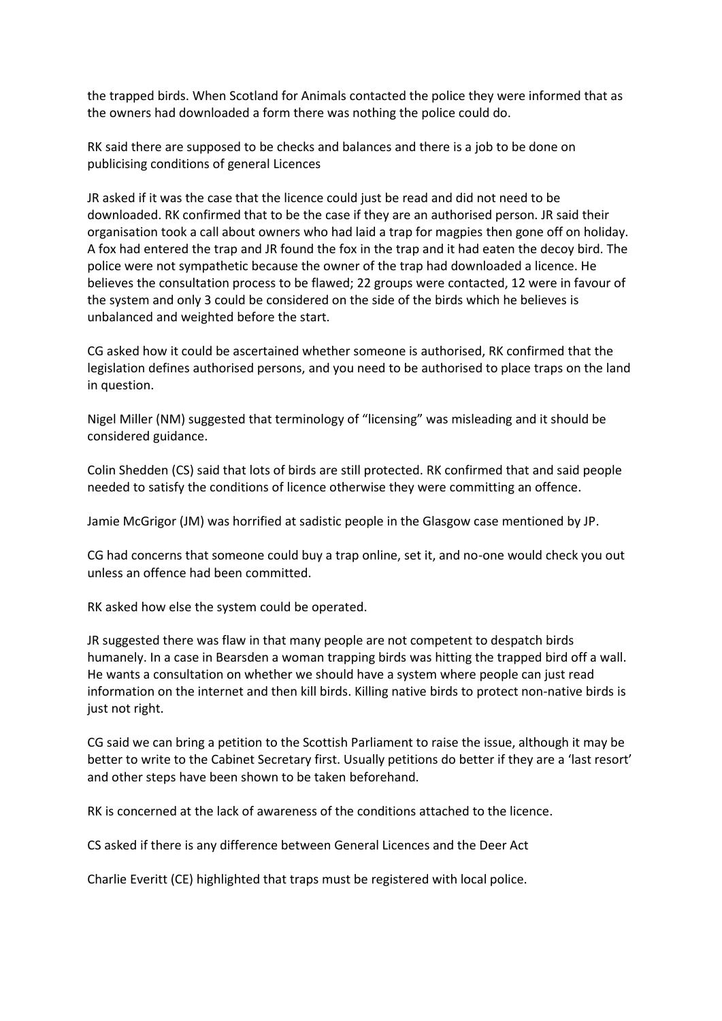the trapped birds. When Scotland for Animals contacted the police they were informed that as the owners had downloaded a form there was nothing the police could do.

RK said there are supposed to be checks and balances and there is a job to be done on publicising conditions of general Licences

JR asked if it was the case that the licence could just be read and did not need to be downloaded. RK confirmed that to be the case if they are an authorised person. JR said their organisation took a call about owners who had laid a trap for magpies then gone off on holiday. A fox had entered the trap and JR found the fox in the trap and it had eaten the decoy bird. The police were not sympathetic because the owner of the trap had downloaded a licence. He believes the consultation process to be flawed; 22 groups were contacted, 12 were in favour of the system and only 3 could be considered on the side of the birds which he believes is unbalanced and weighted before the start.

CG asked how it could be ascertained whether someone is authorised, RK confirmed that the legislation defines authorised persons, and you need to be authorised to place traps on the land in question.

Nigel Miller (NM) suggested that terminology of "licensing" was misleading and it should be considered guidance.

Colin Shedden (CS) said that lots of birds are still protected. RK confirmed that and said people needed to satisfy the conditions of licence otherwise they were committing an offence.

Jamie McGrigor (JM) was horrified at sadistic people in the Glasgow case mentioned by JP.

CG had concerns that someone could buy a trap online, set it, and no-one would check you out unless an offence had been committed.

RK asked how else the system could be operated.

JR suggested there was flaw in that many people are not competent to despatch birds humanely. In a case in Bearsden a woman trapping birds was hitting the trapped bird off a wall. He wants a consultation on whether we should have a system where people can just read information on the internet and then kill birds. Killing native birds to protect non-native birds is just not right.

CG said we can bring a petition to the Scottish Parliament to raise the issue, although it may be better to write to the Cabinet Secretary first. Usually petitions do better if they are a 'last resort' and other steps have been shown to be taken beforehand.

RK is concerned at the lack of awareness of the conditions attached to the licence.

CS asked if there is any difference between General Licences and the Deer Act

Charlie Everitt (CE) highlighted that traps must be registered with local police.